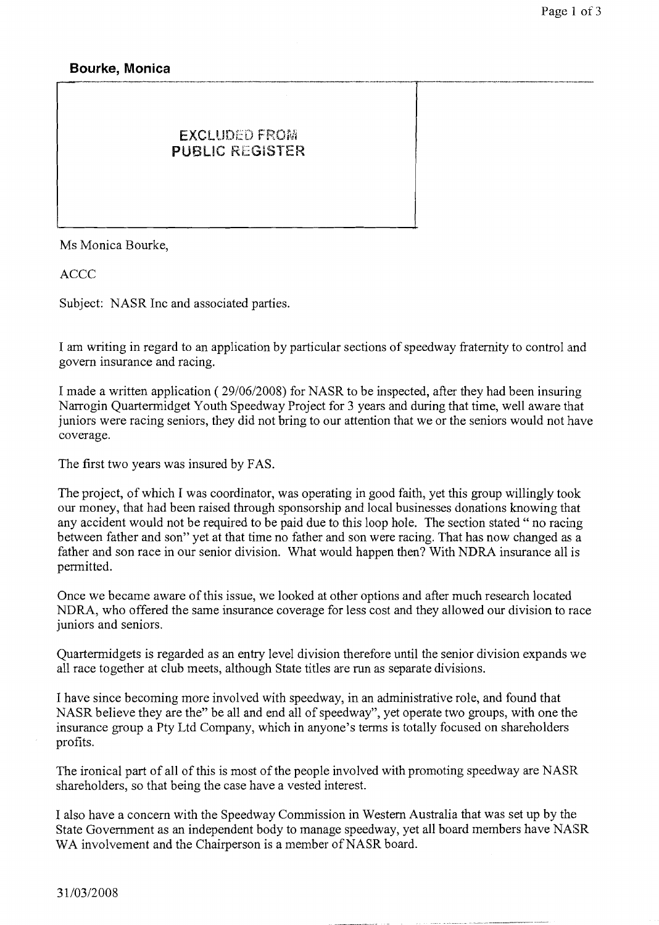## **Bourke, Monica**

## **EXCLUDED FROM** PUBLIC REGISTER

Ms Monica Bourke,

ACCC

Subject: NASR Inc and associated parties.

I am writing in regard to an application by particular sections of speedway fraternity to control and govern insurance and racing.

------ -- -.--- -.-. **.---em.-.** 

I made a written application ( 29/06/2008) for NASR to be inspected, after they had been insuring Narrogin Quartermidget Youth Speedway Project for 3 years and during that time, well aware tinat juniors were racing seniors, they did not bring to our attention that we or the seniors would not have coverage.

The first two years was insured by FAS.

The project, of which I was coordinator, was operating in good faith, yet this group willingly took our money, that had been raised through sponsorship and local businesses donations knowing that any accident would not be required to be paid due to this loop hole. The section stated " no racing between father and son" yet at that time no father and son were racing. That has now changed as a father and son race in our senior division. What would happen then? With NDRA insurance all is permitted.

Once we became aware of this issue, we looked at other options and after much research located NDRA, who offered the same insurance coverage for less cost and they allowed our division to race juniors and seniors.

Quartermidgets is regarded as an entry level division therefore until the senior division expands we all race together at club meets, although State titles are run as separate divisions.

I have since becoming more involved with speedway, in an administrative role, and found that NASR believe they are the" be all and end all of speedway", yet operate two groups, with one the insurance group a Pty Ltd Company, which in anyone's terms is totally focused on shareholders profits.

The ironical part of all of this is most of the people involved with promoting speedway are NASR shareholders, so that being the case have a vested interest.

I also have a concern with the Speedway Commission in Western Australia that was set up by the State Government as an independent body to manage speedway, yet all board members have NASR WA involvement and the Chairperson is a member of NASR board.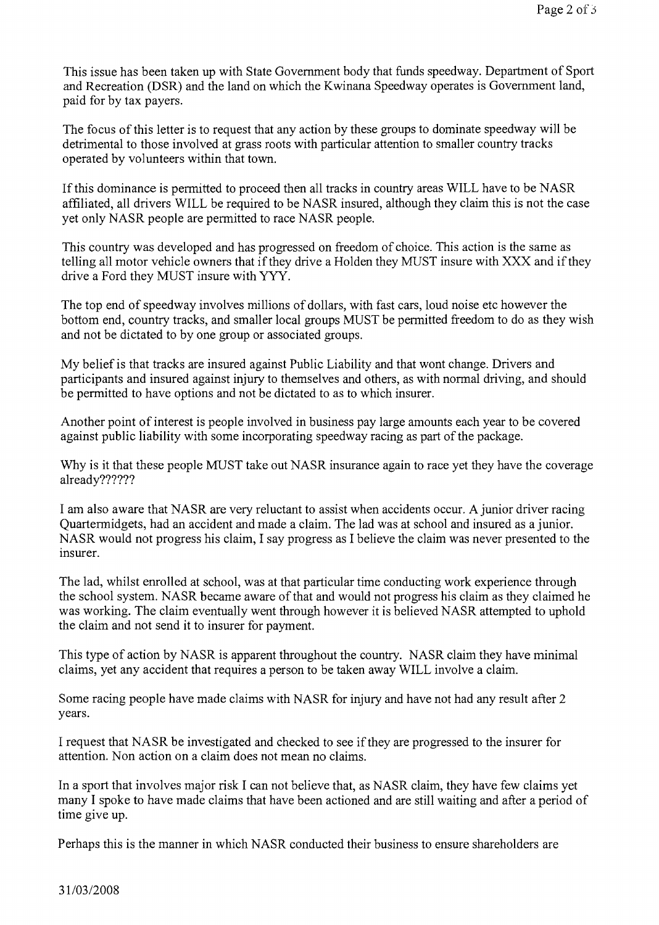This issue has been taken up with State Government body that funds speedway. Department of Sport and Recreation (DSR) and the land on which the Kwinana Speedway operates is Government land, paid for by tax payers.

The focus of this letter is to request that any action by these groups to dominate speedway will be detrimental to those involved at grass roots with particular attention to smaller country tracks operated by volunteers within that town.

If this dominance is permitted to proceed then all tracks in country areas WILL have to be NASR affiliated, all drivers WILL be required to be NASR insured, although they claim this is not the case yet only NASR people are permitted to race NASR people.

This country was developed and has progressed on freedom of choice. This action is the same as telling all motor vehicle owners that if they drive a Holden they MUST insure with XXX and if they drive a Ford they MUST insure with YYY.

The top end of speedway involves millions of dollars, with fast cars, loud noise etc however the bottom end, country tracks, and smaller local groups MUST be permitted freedom to do as they wish and not be dictated to by one group or associated groups.

My belief is that tracks are insured against Public Liability and that wont change. Drivers and participants and insured against injury to themselves and others, as with normal driving, and should be permitted to have options and not be dictated to as to which insurer.

Another point of interest is people involved in business pay large amounts each year to be covered against public liability with some incorporating speedway racing as part of the package.

Why is it that these people MUST take out NASR insurance again to race yet they have the coverage already??????

I am also aware that NASR are very reluctant to assist when accidents occur. A junior driver racing Quartermidgets, had an accident and made a claim. The lad was at school and insured as a junior. NASR would not progress his claim, I say progress as I believe the claim was never presented to the insurer.

The lad, whilst enrolled at school, was at that particular time conducting work experience through the school system. NASR became aware of that and would not progress his claim as they claimed he was working. The claim eventually went through however it is believed NASR attempted to uphold the claim and not send it to insurer for payment.

This type of action by NASR is apparent throughout the country. NASR claim they have minimal claims, yet any accident that requires a person to be taken away WILL involve a claim.

Some racing people have made claims with NASR for injury and have not had any result after 2 years.

I request that NASR be investigated and checked to see if they are progressed to the insurer for attention. Non action on a claim does not mean no claims.

In a sport that involves major risk I can not believe that, as NASR claim, they have few claims yet many I spoke to have made claims that have been actioned and are still waiting and after a period of time give up.

Perhaps this is the manner in which NASR conducted their business to ensure shareholders are